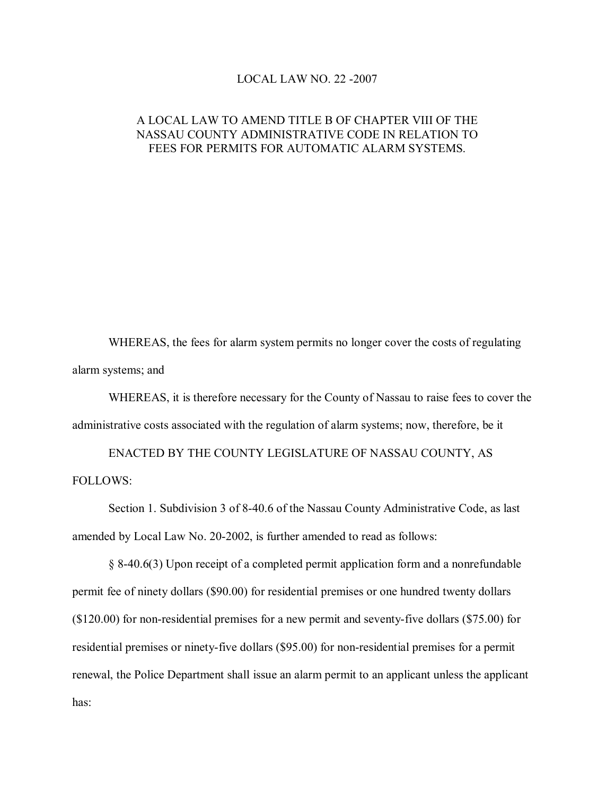## LOCAL LAW NO.  $22 - 2007$

## A LOCAL LAW TO AMEND TITLE B OF CHAPTER VIII OF THE NASSAU COUNTY ADMINISTRATIVE CODE IN RELATION TO FEES FOR PERMITS FOR AUTOMATIC ALARM SYSTEMS.

WHEREAS, the fees for alarm system permits no longer cover the costs of regulating alarm systems; and

WHEREAS, it is therefore necessary for the County of Nassau to raise fees to cover the administrative costs associated with the regulation of alarm systems; now, therefore, be it

ENACTED BY THE COUNTY LEGISLATURE OF NASSAU COUNTY, AS FOLLOWS:

Section 1. Subdivision 3 of 8-40.6 of the Nassau County Administrative Code, as last amended by Local Law No. 20-2002, is further amended to read as follows:

§ 840.6(3) Upon receipt of a completed permit application form and a nonrefundable permit fee of ninety dollars (\$90.00) for residential premises or one hundred twenty dollars  $($120.00)$  for non-residential premises for a new permit and seventy-five dollars  $($75.00)$  for residential premises or ninety-five dollars (\$95.00) for non-residential premises for a permit renewal, the Police Department shall issue an alarm permit to an applicant unless the applicant has: